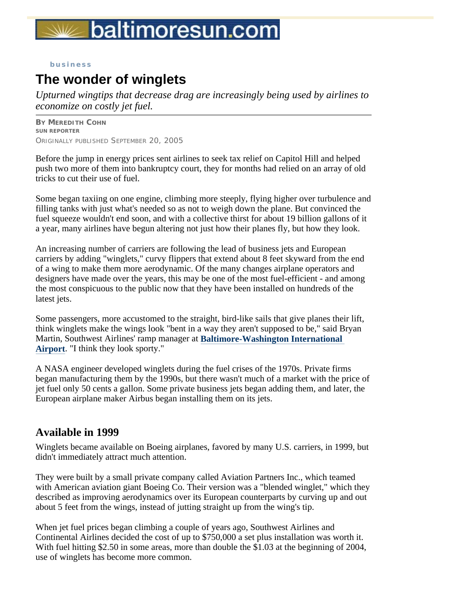# baltimoresun.com

#### **business**

# **The wonder of winglets**

*Upturned wingtips that decrease drag are increasingly being used by airlines to economize on costly jet fuel.* 

**BY MEREDITH COHN SUN REPORTER**  ORIGINALLY PUBLISHED SEPTEMBER 20, 2005

Before the jump in energy prices sent airlines to seek tax relief on Capitol Hill and helped push two more of them into bankruptcy court, they for months had relied on an array of old tricks to cut their use of fuel.

Some began taxiing on one engine, climbing more steeply, flying higher over turbulence and filling tanks with just what's needed so as not to weigh down the plane. But convinced the fuel squeeze wouldn't end soon, and with a collective thirst for about 19 billion gallons of it a year, many airlines have begun altering not just how their planes fly, but how they look.

An increasing number of carriers are following the lead of business jets and European carriers by adding "winglets," curvy flippers that extend about 8 feet skyward from the end of a wing to make them more aerodynamic. Of the many changes airplane operators and designers have made over the years, this may be one of the most fuel-efficient - and among the most conspicuous to the public now that they have been installed on hundreds of the latest jets.

Some passengers, more accustomed to the straight, bird-like sails that give planes their lift, think winglets make the wings look "bent in a way they aren't supposed to be," said Bryan Martin, Southwest Airlines' ramp manager at **Baltimore-Washington International Airport**. "I think they look sporty."

A NASA engineer developed winglets during the fuel crises of the 1970s. Private firms began manufacturing them by the 1990s, but there wasn't much of a market with the price of jet fuel only 50 cents a gallon. Some private business jets began adding them, and later, the European airplane maker Airbus began installing them on its jets.

### **Available in 1999**

Winglets became available on Boeing airplanes, favored by many U.S. carriers, in 1999, but didn't immediately attract much attention.

They were built by a small private company called Aviation Partners Inc., which teamed with American aviation giant Boeing Co. Their version was a "blended winglet," which they described as improving aerodynamics over its European counterparts by curving up and out about 5 feet from the wings, instead of jutting straight up from the wing's tip.

When jet fuel prices began climbing a couple of years ago, Southwest Airlines and Continental Airlines decided the cost of up to \$750,000 a set plus installation was worth it. With fuel hitting \$2.50 in some areas, more than double the \$1.03 at the beginning of 2004, use of winglets has become more common.